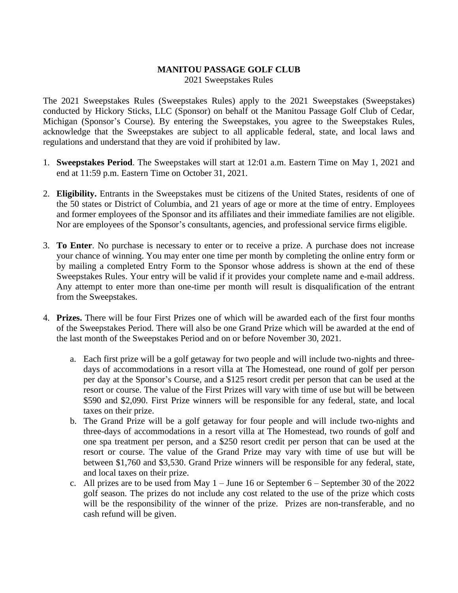## **MANITOU PASSAGE GOLF CLUB**

2021 Sweepstakes Rules

The 2021 Sweepstakes Rules (Sweepstakes Rules) apply to the 2021 Sweepstakes (Sweepstakes) conducted by Hickory Sticks, LLC (Sponsor) on behalf ot the Manitou Passage Golf Club of Cedar, Michigan (Sponsor's Course). By entering the Sweepstakes, you agree to the Sweepstakes Rules, acknowledge that the Sweepstakes are subject to all applicable federal, state, and local laws and regulations and understand that they are void if prohibited by law.

- 1. **Sweepstakes Period**. The Sweepstakes will start at 12:01 a.m. Eastern Time on May 1, 2021 and end at 11:59 p.m. Eastern Time on October 31, 2021.
- 2. **Eligibility.** Entrants in the Sweepstakes must be citizens of the United States, residents of one of the 50 states or District of Columbia, and 21 years of age or more at the time of entry. Employees and former employees of the Sponsor and its affiliates and their immediate families are not eligible. Nor are employees of the Sponsor's consultants, agencies, and professional service firms eligible.
- 3. **To Enter**. No purchase is necessary to enter or to receive a prize. A purchase does not increase your chance of winning. You may enter one time per month by completing the online entry form or by mailing a completed Entry Form to the Sponsor whose address is shown at the end of these Sweepstakes Rules. Your entry will be valid if it provides your complete name and e-mail address. Any attempt to enter more than one-time per month will result is disqualification of the entrant from the Sweepstakes.
- 4. **Prizes.** There will be four First Prizes one of which will be awarded each of the first four months of the Sweepstakes Period. There will also be one Grand Prize which will be awarded at the end of the last month of the Sweepstakes Period and on or before November 30, 2021.
	- a. Each first prize will be a golf getaway for two people and will include two-nights and threedays of accommodations in a resort villa at The Homestead, one round of golf per person per day at the Sponsor's Course, and a \$125 resort credit per person that can be used at the resort or course. The value of the First Prizes will vary with time of use but will be between \$590 and \$2,090. First Prize winners will be responsible for any federal, state, and local taxes on their prize.
	- b. The Grand Prize will be a golf getaway for four people and will include two-nights and three-days of accommodations in a resort villa at The Homestead, two rounds of golf and one spa treatment per person, and a \$250 resort credit per person that can be used at the resort or course. The value of the Grand Prize may vary with time of use but will be between \$1,760 and \$3,530. Grand Prize winners will be responsible for any federal, state, and local taxes on their prize.
	- c. All prizes are to be used from May  $1 -$  June 16 or September 6 September 30 of the 2022 golf season. The prizes do not include any cost related to the use of the prize which costs will be the responsibility of the winner of the prize. Prizes are non-transferable, and no cash refund will be given.